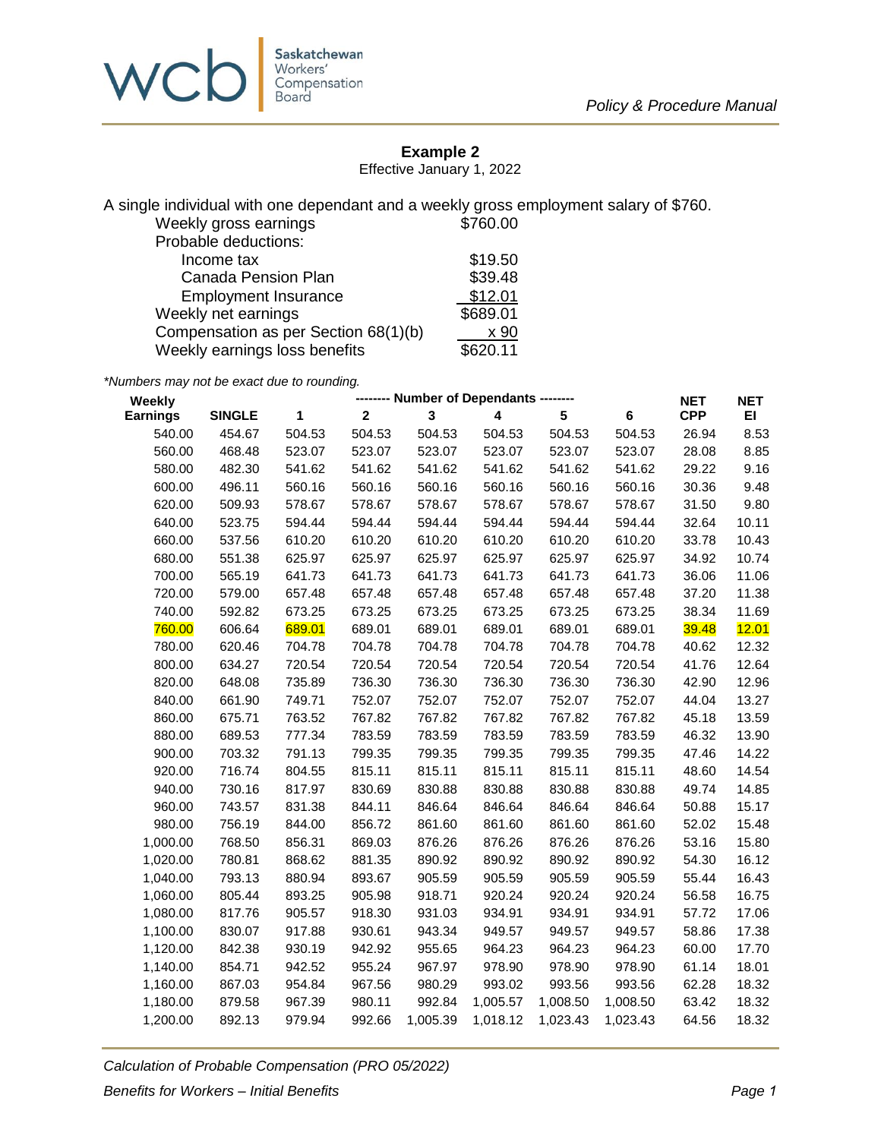

## **Example 2**

Effective January 1, 2022

A single individual with one dependant and a weekly gross employment salary of \$760.

| Weekly gross earnings                | \$760.00 |
|--------------------------------------|----------|
| Probable deductions:                 |          |
| Income tax                           | \$19.50  |
| <b>Canada Pension Plan</b>           | \$39.48  |
| <b>Employment Insurance</b>          | \$12.01  |
| Weekly net earnings                  | \$689.01 |
| Compensation as per Section 68(1)(b) | x 90     |
| Weekly earnings loss benefits        | \$620.11 |

*\*Numbers may not be exact due to rounding.*

| Weekly          | -------- Number of Dependants -------- |        |                         |          |                         |                 | <b>NET</b> | <b>NET</b> |       |
|-----------------|----------------------------------------|--------|-------------------------|----------|-------------------------|-----------------|------------|------------|-------|
| <b>Earnings</b> | <b>SINGLE</b>                          | 1      | $\overline{\mathbf{2}}$ | 3        | $\overline{\mathbf{4}}$ | $5\phantom{.0}$ | $\bf 6$    | <b>CPP</b> | EI.   |
| 540.00          | 454.67                                 | 504.53 | 504.53                  | 504.53   | 504.53                  | 504.53          | 504.53     | 26.94      | 8.53  |
| 560.00          | 468.48                                 | 523.07 | 523.07                  | 523.07   | 523.07                  | 523.07          | 523.07     | 28.08      | 8.85  |
| 580.00          | 482.30                                 | 541.62 | 541.62                  | 541.62   | 541.62                  | 541.62          | 541.62     | 29.22      | 9.16  |
| 600.00          | 496.11                                 | 560.16 | 560.16                  | 560.16   | 560.16                  | 560.16          | 560.16     | 30.36      | 9.48  |
| 620.00          | 509.93                                 | 578.67 | 578.67                  | 578.67   | 578.67                  | 578.67          | 578.67     | 31.50      | 9.80  |
| 640.00          | 523.75                                 | 594.44 | 594.44                  | 594.44   | 594.44                  | 594.44          | 594.44     | 32.64      | 10.11 |
| 660.00          | 537.56                                 | 610.20 | 610.20                  | 610.20   | 610.20                  | 610.20          | 610.20     | 33.78      | 10.43 |
| 680.00          | 551.38                                 | 625.97 | 625.97                  | 625.97   | 625.97                  | 625.97          | 625.97     | 34.92      | 10.74 |
| 700.00          | 565.19                                 | 641.73 | 641.73                  | 641.73   | 641.73                  | 641.73          | 641.73     | 36.06      | 11.06 |
| 720.00          | 579.00                                 | 657.48 | 657.48                  | 657.48   | 657.48                  | 657.48          | 657.48     | 37.20      | 11.38 |
| 740.00          | 592.82                                 | 673.25 | 673.25                  | 673.25   | 673.25                  | 673.25          | 673.25     | 38.34      | 11.69 |
| 760.00          | 606.64                                 | 689.01 | 689.01                  | 689.01   | 689.01                  | 689.01          | 689.01     | 39.48      | 12.01 |
| 780.00          | 620.46                                 | 704.78 | 704.78                  | 704.78   | 704.78                  | 704.78          | 704.78     | 40.62      | 12.32 |
| 800.00          | 634.27                                 | 720.54 | 720.54                  | 720.54   | 720.54                  | 720.54          | 720.54     | 41.76      | 12.64 |
| 820.00          | 648.08                                 | 735.89 | 736.30                  | 736.30   | 736.30                  | 736.30          | 736.30     | 42.90      | 12.96 |
| 840.00          | 661.90                                 | 749.71 | 752.07                  | 752.07   | 752.07                  | 752.07          | 752.07     | 44.04      | 13.27 |
| 860.00          | 675.71                                 | 763.52 | 767.82                  | 767.82   | 767.82                  | 767.82          | 767.82     | 45.18      | 13.59 |
| 880.00          | 689.53                                 | 777.34 | 783.59                  | 783.59   | 783.59                  | 783.59          | 783.59     | 46.32      | 13.90 |
| 900.00          | 703.32                                 | 791.13 | 799.35                  | 799.35   | 799.35                  | 799.35          | 799.35     | 47.46      | 14.22 |
| 920.00          | 716.74                                 | 804.55 | 815.11                  | 815.11   | 815.11                  | 815.11          | 815.11     | 48.60      | 14.54 |
| 940.00          | 730.16                                 | 817.97 | 830.69                  | 830.88   | 830.88                  | 830.88          | 830.88     | 49.74      | 14.85 |
| 960.00          | 743.57                                 | 831.38 | 844.11                  | 846.64   | 846.64                  | 846.64          | 846.64     | 50.88      | 15.17 |
| 980.00          | 756.19                                 | 844.00 | 856.72                  | 861.60   | 861.60                  | 861.60          | 861.60     | 52.02      | 15.48 |
| 1,000.00        | 768.50                                 | 856.31 | 869.03                  | 876.26   | 876.26                  | 876.26          | 876.26     | 53.16      | 15.80 |
| 1,020.00        | 780.81                                 | 868.62 | 881.35                  | 890.92   | 890.92                  | 890.92          | 890.92     | 54.30      | 16.12 |
| 1,040.00        | 793.13                                 | 880.94 | 893.67                  | 905.59   | 905.59                  | 905.59          | 905.59     | 55.44      | 16.43 |
| 1,060.00        | 805.44                                 | 893.25 | 905.98                  | 918.71   | 920.24                  | 920.24          | 920.24     | 56.58      | 16.75 |
| 1,080.00        | 817.76                                 | 905.57 | 918.30                  | 931.03   | 934.91                  | 934.91          | 934.91     | 57.72      | 17.06 |
| 1,100.00        | 830.07                                 | 917.88 | 930.61                  | 943.34   | 949.57                  | 949.57          | 949.57     | 58.86      | 17.38 |
| 1,120.00        | 842.38                                 | 930.19 | 942.92                  | 955.65   | 964.23                  | 964.23          | 964.23     | 60.00      | 17.70 |
| 1,140.00        | 854.71                                 | 942.52 | 955.24                  | 967.97   | 978.90                  | 978.90          | 978.90     | 61.14      | 18.01 |
| 1,160.00        | 867.03                                 | 954.84 | 967.56                  | 980.29   | 993.02                  | 993.56          | 993.56     | 62.28      | 18.32 |
| 1,180.00        | 879.58                                 | 967.39 | 980.11                  | 992.84   | 1,005.57                | 1,008.50        | 1,008.50   | 63.42      | 18.32 |
| 1,200.00        | 892.13                                 | 979.94 | 992.66                  | 1,005.39 | 1,018.12                | 1,023.43        | 1,023.43   | 64.56      | 18.32 |

*Calculation of Probable Compensation (PRO 05/2022) Benefits for Workers – Initial Benefits Page 1*